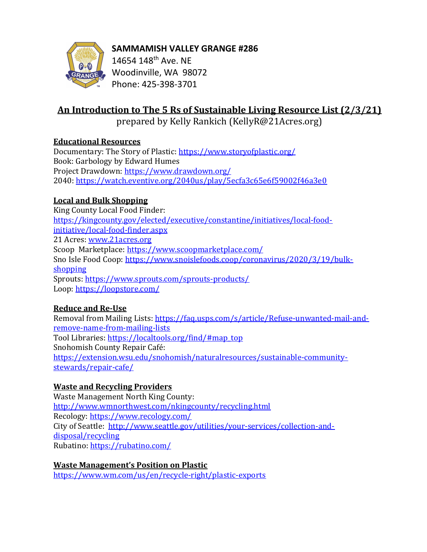



14654 148th Ave. NE Woodinville, WA 98072 Phone: 425-398-3701

# An Introduction to The 5 Rs of Sustainable Living Resource List (2/3/21)

prepared by Kelly Rankich (KellyR@21Acres.org)

## Educational Resources

Documentary: The Story of Plastic: https://www.storyofplastic.org/ Book: Garbology by Edward Humes Project Drawdown: https://www.drawdown.org/ 2040: https://watch.eventive.org/2040us/play/5ecfa3c65e6f59002f46a3e0

## Local and Bulk Shopping

King County Local Food Finder: https://kingcounty.gov/elected/executive/constantine/initiatives/local-foodinitiative/local-food-finder.aspx 21 Acres: www.21acres.org Scoop Marketplace: https://www.scoopmarketplace.com/ Sno Isle Food Coop: https://www.snoislefoods.coop/coronavirus/2020/3/19/bulkshopping Sprouts: https://www.sprouts.com/sprouts-products/ Loop: https://loopstore.com/

## Reduce and Re-Use

Removal from Mailing Lists: https://faq.usps.com/s/article/Refuse-unwanted-mail-andremove-name-from-mailing-lists Tool Libraries: https://localtools.org/find/#map\_top Snohomish County Repair Café: https://extension.wsu.edu/snohomish/naturalresources/sustainable-communitystewards/repair-cafe/

# Waste and Recycling Providers

Waste Management North King County: http://www.wmnorthwest.com/nkingcounty/recycling.html Recology: https://www.recology.com/ City of Seattle: http://www.seattle.gov/utilities/your-services/collection-anddisposal/recycling Rubatino: https://rubatino.com/

## Waste Management's Position on Plastic

https://www.wm.com/us/en/recycle-right/plastic-exports